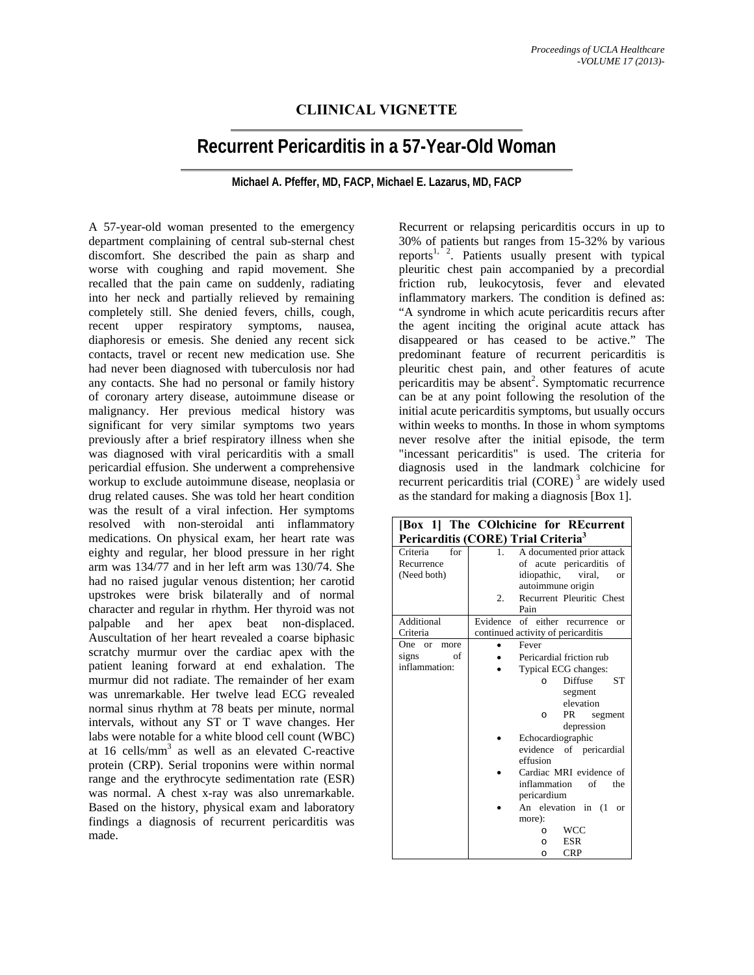## **CLIINICAL VIGNETTE**

## **Recurrent Pericarditis in a 57-Year-Old Woman**

## **Michael A. Pfeffer, MD, FACP, Michael E. Lazarus, MD, FACP**

A 57-year-old woman presented to the emergency department complaining of central sub-sternal chest discomfort. She described the pain as sharp and worse with coughing and rapid movement. She recalled that the pain came on suddenly, radiating into her neck and partially relieved by remaining completely still. She denied fevers, chills, cough, recent upper respiratory symptoms, nausea, diaphoresis or emesis. She denied any recent sick contacts, travel or recent new medication use. She had never been diagnosed with tuberculosis nor had any contacts. She had no personal or family history of coronary artery disease, autoimmune disease or malignancy. Her previous medical history was significant for very similar symptoms two years previously after a brief respiratory illness when she was diagnosed with viral pericarditis with a small pericardial effusion. She underwent a comprehensive workup to exclude autoimmune disease, neoplasia or drug related causes. She was told her heart condition was the result of a viral infection. Her symptoms resolved with non-steroidal anti inflammatory medications. On physical exam, her heart rate was eighty and regular, her blood pressure in her right arm was 134/77 and in her left arm was 130/74. She had no raised jugular venous distention; her carotid upstrokes were brisk bilaterally and of normal character and regular in rhythm. Her thyroid was not palpable and her apex beat non-displaced. Auscultation of her heart revealed a coarse biphasic scratchy murmur over the cardiac apex with the patient leaning forward at end exhalation. The murmur did not radiate. The remainder of her exam was unremarkable. Her twelve lead ECG revealed normal sinus rhythm at 78 beats per minute, normal intervals, without any ST or T wave changes. Her labs were notable for a white blood cell count (WBC) at 16 cells/ $mm<sup>3</sup>$  as well as an elevated C-reactive protein (CRP). Serial troponins were within normal range and the erythrocyte sedimentation rate (ESR) was normal. A chest x-ray was also unremarkable. Based on the history, physical exam and laboratory findings a diagnosis of recurrent pericarditis was made.

Recurrent or relapsing pericarditis occurs in up to 30% of patients but ranges from 15-32% by various reports<sup>1, 2</sup>. Patients usually present with typical pleuritic chest pain accompanied by a precordial friction rub, leukocytosis, fever and elevated inflammatory markers. The condition is defined as: "A syndrome in which acute pericarditis recurs after the agent inciting the original acute attack has disappeared or has ceased to be active." The predominant feature of recurrent pericarditis is pleuritic chest pain, and other features of acute pericarditis may be absent<sup>2</sup>. Symptomatic recurrence can be at any point following the resolution of the initial acute pericarditis symptoms, but usually occurs within weeks to months. In those in whom symptoms never resolve after the initial episode, the term "incessant pericarditis" is used. The criteria for diagnosis used in the landmark colchicine for recurrent pericarditis trial (CORE)<sup>3</sup> are widely used as the standard for making a diagnosis [Box 1].

| [Box 1] The COlchicine for REcurrent            |         |                                             |
|-------------------------------------------------|---------|---------------------------------------------|
| Pericarditis (CORE) Trial Criteria <sup>3</sup> |         |                                             |
| for<br>Criteria                                 | $1_{-}$ | A documented prior attack                   |
| Recurrence                                      |         | of acute pericarditis of                    |
| (Need both)                                     |         | idiopathic,<br>viral,<br><b>or</b>          |
|                                                 |         | autoimmune origin                           |
|                                                 | 2.      | Recurrent Pleuritic Chest                   |
|                                                 |         | Pain                                        |
| Additional                                      |         | Evidence of either recurrence<br>$\alpha$ r |
| Criteria                                        |         | continued activity of pericarditis          |
| One<br><b>or</b><br>more                        |         | Fever                                       |
| signs<br>of                                     |         | Pericardial friction rub                    |
| inflammation:                                   |         | Typical ECG changes:                        |
|                                                 |         | <b>Diffuse</b><br><b>ST</b><br>C            |
|                                                 |         | segment                                     |
|                                                 |         | elevation                                   |
|                                                 |         | PR<br>segment<br>$\Omega$                   |
|                                                 |         | depression                                  |
|                                                 |         | Echocardiographic                           |
|                                                 |         | evidence of pericardial                     |
|                                                 |         | effusion                                    |
|                                                 |         | Cardiac MRI evidence of                     |
|                                                 |         | inflammation<br>of<br>the                   |
|                                                 |         | pericardium                                 |
|                                                 |         | An elevation in (1)<br><b>or</b>            |
|                                                 |         | more):                                      |
|                                                 |         | <b>WCC</b><br>$\Omega$                      |
|                                                 |         | <b>ESR</b><br>$\Omega$                      |
|                                                 |         | <b>CRP</b><br>$\Omega$                      |